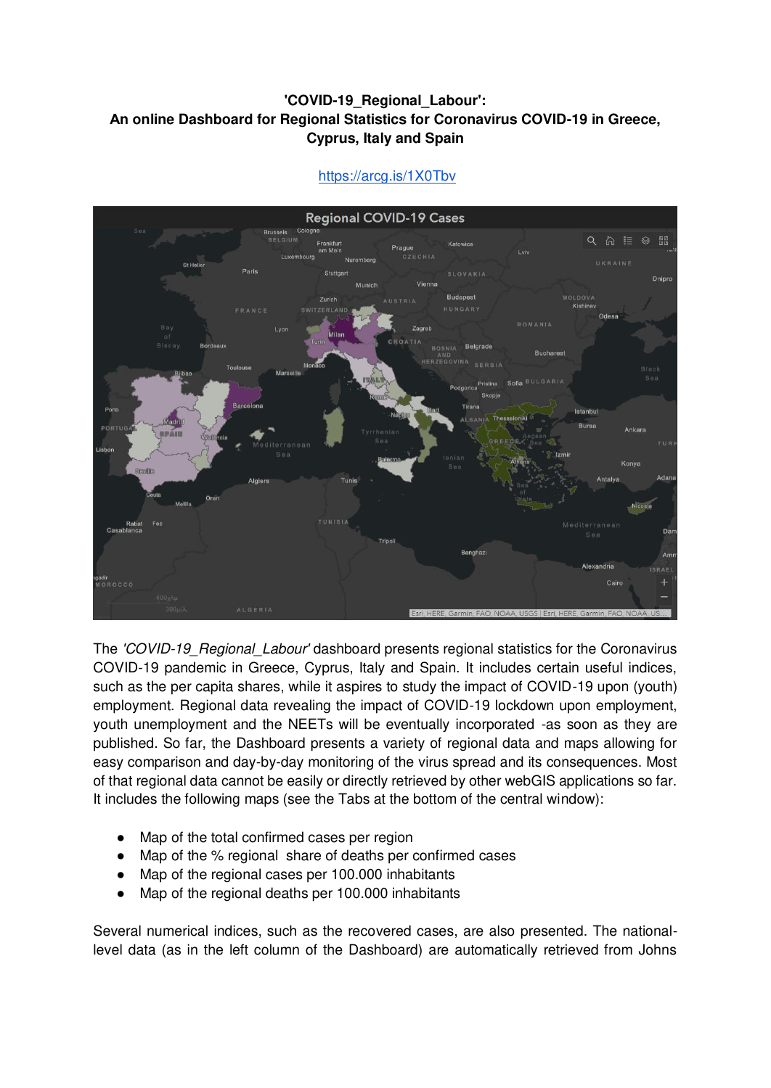## **'COVID-19\_Regional\_Labour': Αn online Dashboard for Regional Statistics for Coronavirus COVID-19 in Greece, Cyprus, Italy and Spain**



<https://arcg.is/1X0Tbv>

The *'COVID-19\_Regional\_Labour'* dashboard presents regional statistics for the Coronavirus COVID-19 pandemic in Greece, Cyprus, Italy and Spain. It includes certain useful indices, such as the per capita shares, while it aspires to study the impact of COVID-19 upon (youth) employment. Regional data revealing the impact of COVID-19 lockdown upon employment, youth unemployment and the NEETs will be eventually incorporated -as soon as they are published. So far, the Dashboard presents a variety of regional data and maps allowing for easy comparison and day-by-day monitoring of the virus spread and its consequences. Most of that regional data cannot be easily or directly retrieved by other webGIS applications so far. It includes the following maps (see the Tabs at the bottom of the central window):

- Map of the total confirmed cases per region
- Map of the % regional share of deaths per confirmed cases
- Map of the regional cases per 100.000 inhabitants
- Map of the regional deaths per 100.000 inhabitants

Several numerical indices, such as the recovered cases, are also presented. The nationallevel data (as in the left column of the Dashboard) are automatically retrieved from Johns